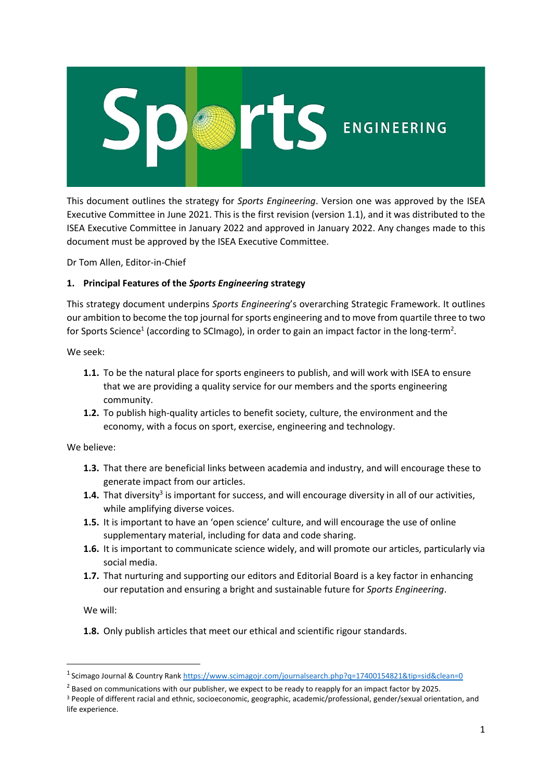

This document outlines the strategy for *Sports Engineering*. Version one was approved by the ISEA Executive Committee in June 2021. This is the first revision (version 1.1), and it was distributed to the ISEA Executive Committee in January 2022 and approved in January 2022. Any changes made to this document must be approved by the ISEA Executive Committee.

Dr Tom Allen, Editor-in-Chief

## **1. Principal Features of the** *Sports Engineering* **strategy**

This strategy document underpins *Sports Engineering*'s overarching Strategic Framework. It outlines our ambition to become the top journal forsports engineering and to move from quartile three to two for Sports Science<sup>1</sup> (according to SCImago), in order to gain an impact factor in the long-term<sup>2</sup>.

We seek:

- **1.1.** To be the natural place for sports engineers to publish, and will work with ISEA to ensure that we are providing a quality service for our members and the sports engineering community.
- **1.2.** To publish high-quality articles to benefit society, culture, the environment and the economy, with a focus on sport, exercise, engineering and technology.

We believe:

- **1.3.** That there are beneficial links between academia and industry, and will encourage these to generate impact from our articles.
- 1.4. That diversity<sup>3</sup> is important for success, and will encourage diversity in all of our activities, while amplifying diverse voices.
- **1.5.** It is important to have an 'open science' culture, and will encourage the use of online supplementary material, including for data and code sharing.
- **1.6.** It is important to communicate science widely, and will promote our articles, particularly via social media.
- **1.7.** That nurturing and supporting our editors and Editorial Board is a key factor in enhancing our reputation and ensuring a bright and sustainable future for *Sports Engineering*.

We will:

**1.8.** Only publish articles that meet our ethical and scientific rigour standards.

<sup>&</sup>lt;sup>1</sup> [Scimago Journal & Country Rank](https://www.scimagojr.com/) <https://www.scimagojr.com/journalsearch.php?q=17400154821&tip=sid&clean=0>

 $<sup>2</sup>$  Based on communications with our publisher, we expect to be ready to reapply for an impact factor by 2025.</sup>

<sup>3</sup> People of different racial and ethnic, socioeconomic, geographic, academic/professional, gender/sexual orientation, and life experience.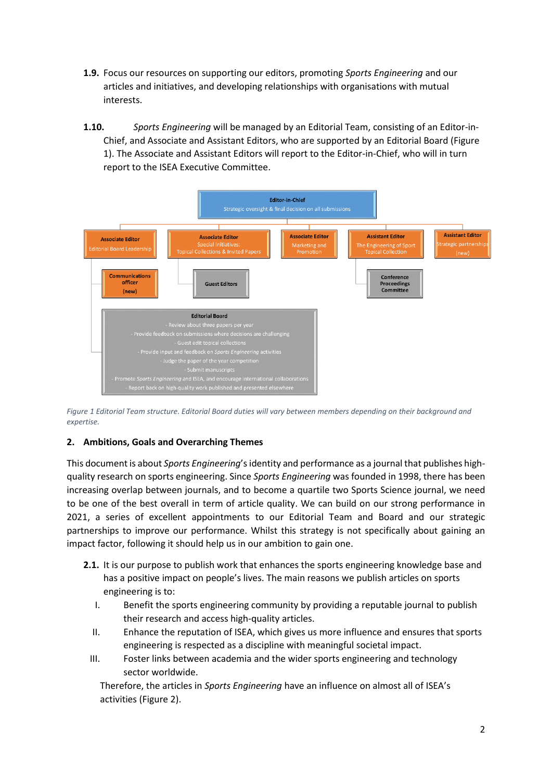- **1.9.** Focus our resources on supporting our editors, promoting *Sports Engineering* and our articles and initiatives, and developing relationships with organisations with mutual interests.
- **1.10.** *Sports Engineering* will be managed by an Editorial Team, consisting of an Editor-in-Chief, and Associate and Assistant Editors, who are supported by an Editorial Board [\(Figure](#page-1-0)  [1\)](#page-1-0). The Associate and Assistant Editors will report to the Editor-in-Chief, who will in turn report to the ISEA Executive Committee.



<span id="page-1-0"></span>*Figure 1 Editorial Team structure. Editorial Board duties will vary between members depending on their background and expertise.* 

## **2. Ambitions, Goals and Overarching Themes**

This document is about *Sports Engineering*'s identity and performance as a journal that publishes highquality research on sports engineering. Since *Sports Engineering* was founded in 1998, there has been increasing overlap between journals, and to become a quartile two Sports Science journal, we need to be one of the best overall in term of article quality. We can build on our strong performance in 2021, a series of excellent appointments to our Editorial Team and Board and our strategic partnerships to improve our performance. Whilst this strategy is not specifically about gaining an impact factor, following it should help us in our ambition to gain one.

- **2.1.** It is our purpose to publish work that enhances the sports engineering knowledge base and has a positive impact on people's lives. The main reasons we publish articles on sports engineering is to:
	- I. Benefit the sports engineering community by providing a reputable journal to publish their research and access high-quality articles.
	- II. Enhance the reputation of ISEA, which gives us more influence and ensures that sports engineering is respected as a discipline with meaningful societal impact.
	- III. Foster links between academia and the wider sports engineering and technology sector worldwide.

Therefore, the articles in *Sports Engineering* have an influence on almost all of ISEA's activities [\(Figure 2\)](#page-2-0).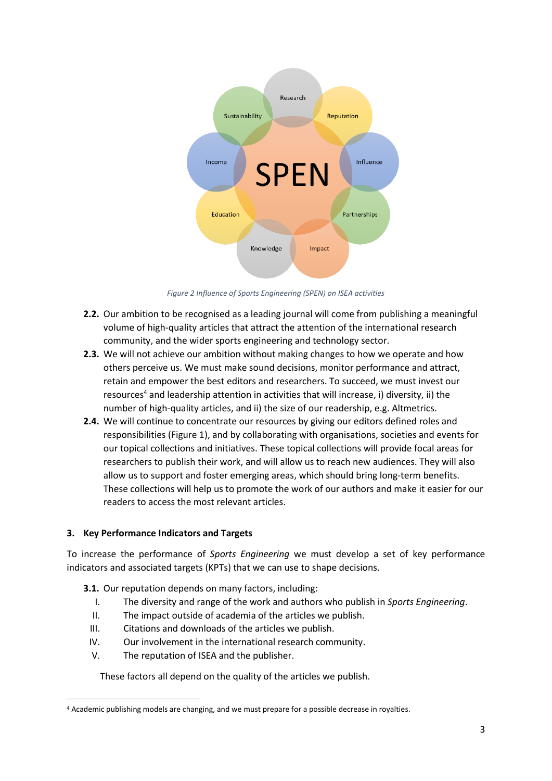

*Figure 2 Influence of Sports Engineering (SPEN) on ISEA activities*

- <span id="page-2-0"></span>**2.2.** Our ambition to be recognised as a leading journal will come from publishing a meaningful volume of high-quality articles that attract the attention of the international research community, and the wider sports engineering and technology sector.
- **2.3.** We will not achieve our ambition without making changes to how we operate and how others perceive us. We must make sound decisions, monitor performance and attract, retain and empower the best editors and researchers. To succeed, we must invest our resources<sup>4</sup> and leadership attention in activities that will increase, i) diversity, ii) the number of high-quality articles, and ii) the size of our readership, e.g. Altmetrics.
- **2.4.** We will continue to concentrate our resources by giving our editors defined roles and responsibilities [\(Figure 1\)](#page-1-0), and by collaborating with organisations, societies and events for our topical collections and initiatives. These topical collections will provide focal areas for researchers to publish their work, and will allow us to reach new audiences. They will also allow us to support and foster emerging areas, which should bring long-term benefits. These collections will help us to promote the work of our authors and make it easier for our readers to access the most relevant articles.

## **3. Key Performance Indicators and Targets**

To increase the performance of *Sports Engineering* we must develop a set of key performance indicators and associated targets (KPTs) that we can use to shape decisions.

- **3.1.** Our reputation depends on many factors, including:
	- I. The diversity and range of the work and authors who publish in *Sports Engineering*.
	- II. The impact outside of academia of the articles we publish.
	- III. Citations and downloads of the articles we publish.
	- IV. Our involvement in the international research community.
	- V. The reputation of ISEA and the publisher.

These factors all depend on the quality of the articles we publish.

<sup>4</sup> Academic publishing models are changing, and we must prepare for a possible decrease in royalties.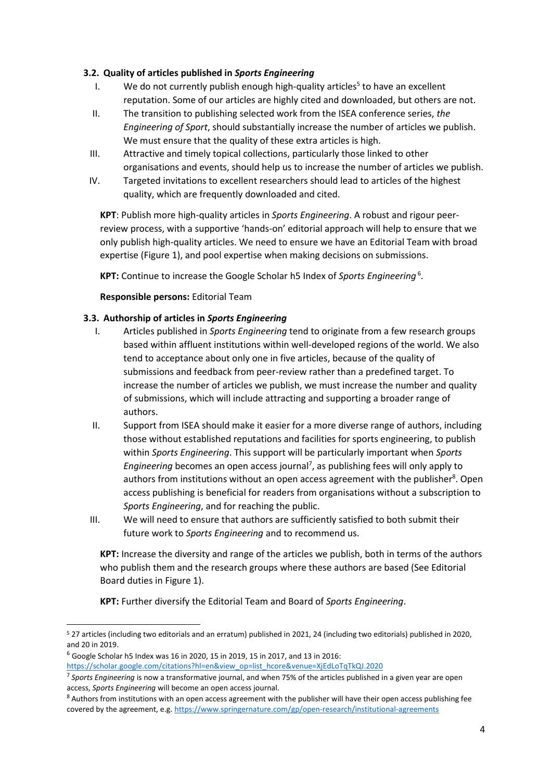#### **3.2. Quality of articles published in** *Sports Engineering*

- I. We do not currently publish enough high-quality articles<sup>5</sup> to have an excellent reputation. Some of our articles are highly cited and downloaded, but others are not.
- II. The transition to publishing selected work from the ISEA conference series, *the Engineering of Sport*, should substantially increase the number of articles we publish. We must ensure that the quality of these extra articles is high.
- III. Attractive and timely topical collections, particularly those linked to other organisations and events, should help us to increase the number of articles we publish.
- IV. Targeted invitations to excellent researchers should lead to articles of the highest quality, which are frequently downloaded and cited.

**KPT**: Publish more high-quality articles in *Sports Engineering*. A robust and rigour peerreview process, with a supportive 'hands-on' editorial approach will help to ensure that we only publish high-quality articles. We need to ensure we have an Editorial Team with broad expertise [\(Figure 1\)](#page-1-0), and pool expertise when making decisions on submissions.

**KPT:** Continue to increase the Google Scholar h5 Index of *Sports Engineering* <sup>6</sup> .

**Responsible persons:** Editorial Team

#### **3.3. Authorship of articles in** *Sports Engineering*

- I. Articles published in *Sports Engineering* tend to originate from a few research groups based within affluent institutions within well-developed regions of the world. We also tend to acceptance about only one in five articles, because of the quality of submissions and feedback from peer-review rather than a predefined target. To increase the number of articles we publish, we must increase the number and quality of submissions, which will include attracting and supporting a broader range of authors.
- II. Support from ISEA should make it easier for a more diverse range of authors, including those without established reputations and facilities for sports engineering, to publish within *Sports Engineering*. This support will be particularly important when *Sports*  Engineering becomes an open access journal<sup>7</sup>, as publishing fees will only apply to authors from institutions without an open access agreement with the publisher<sup>8</sup>. Open access publishing is beneficial for readers from organisations without a subscription to *Sports Engineering*, and for reaching the public.
- III. We will need to ensure that authors are sufficiently satisfied to both submit their future work to *Sports Engineering* and to recommend us.

**KPT:** Increase the diversity and range of the articles we publish, both in terms of the authors who publish them and the research groups where these authors are based (See Editorial Board duties in [Figure 1\)](#page-1-0).

**KPT:** Further diversify the Editorial Team and Board of *Sports Engineering*.

<sup>5</sup> 27 articles (including two editorials and an erratum) published in 2021, 24 (including two editorials) published in 2020, and 20 in 2019.

 $6$  Google Scholar h5 Index was 16 in 2020, 15 in 2019, 15 in 2017, and 13 in 2016:

[https://scholar.google.com/citations?hl=en&view\\_op=list\\_hcore&venue=XjEdLoTqTkQJ.2020](https://scholar.google.com/citations?hl=en&view_op=list_hcore&venue=XjEdLoTqTkQJ.2020)

<sup>7</sup> *Sports Engineering* is now a transformative journal, and when 75% of the articles published in a given year are open access, *Sports Engineering* will become an open access journal.

 $8$  Authors from institutions with an open access agreement with the publisher will have their open access publishing fee covered by the agreement, e.g.<https://www.springernature.com/gp/open-research/institutional-agreements>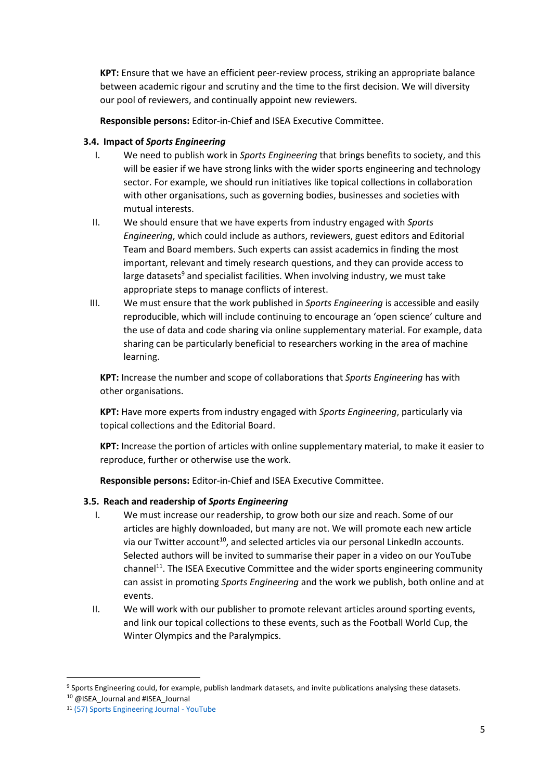**KPT:** Ensure that we have an efficient peer-review process, striking an appropriate balance between academic rigour and scrutiny and the time to the first decision. We will diversity our pool of reviewers, and continually appoint new reviewers.

**Responsible persons:** Editor-in-Chief and ISEA Executive Committee.

#### **3.4. Impact of** *Sports Engineering*

- I. We need to publish work in *Sports Engineering* that brings benefits to society, and this will be easier if we have strong links with the wider sports engineering and technology sector. For example, we should run initiatives like topical collections in collaboration with other organisations, such as governing bodies, businesses and societies with mutual interests.
- II. We should ensure that we have experts from industry engaged with *Sports Engineering*, which could include as authors, reviewers, guest editors and Editorial Team and Board members. Such experts can assist academics in finding the most important, relevant and timely research questions, and they can provide access to large datasets<sup>9</sup> and specialist facilities. When involving industry, we must take appropriate steps to manage conflicts of interest.
- III. We must ensure that the work published in *Sports Engineering* is accessible and easily reproducible, which will include continuing to encourage an 'open science' culture and the use of data and code sharing via online supplementary material. For example, data sharing can be particularly beneficial to researchers working in the area of machine learning.

**KPT:** Increase the number and scope of collaborations that *Sports Engineering* has with other organisations.

**KPT:** Have more experts from industry engaged with *Sports Engineering*, particularly via topical collections and the Editorial Board.

**KPT:** Increase the portion of articles with online supplementary material, to make it easier to reproduce, further or otherwise use the work.

**Responsible persons:** Editor-in-Chief and ISEA Executive Committee.

## **3.5. Reach and readership of** *Sports Engineering*

- I. We must increase our readership, to grow both our size and reach. Some of our articles are highly downloaded, but many are not. We will promote each new article via our Twitter account<sup>10</sup>, and selected articles via our personal LinkedIn accounts. Selected authors will be invited to summarise their paper in a video on our YouTube channel<sup>11</sup>. The ISEA Executive Committee and the wider sports engineering community can assist in promoting *Sports Engineering* and the work we publish, both online and at events.
- II. We will work with our publisher to promote relevant articles around sporting events, and link our topical collections to these events, such as the Football World Cup, the Winter Olympics and the Paralympics.

<sup>9</sup> Sports Engineering could, for example, publish landmark datasets, and invite publications analysing these datasets.

<sup>&</sup>lt;sup>10</sup> @ISEA\_Journal and #ISEA\_Journal

<sup>11</sup> [\(57\) Sports Engineering Journal -](https://www.youtube.com/channel/UCbnQo4mFRUxu8CBR2NgmdGQ) YouTube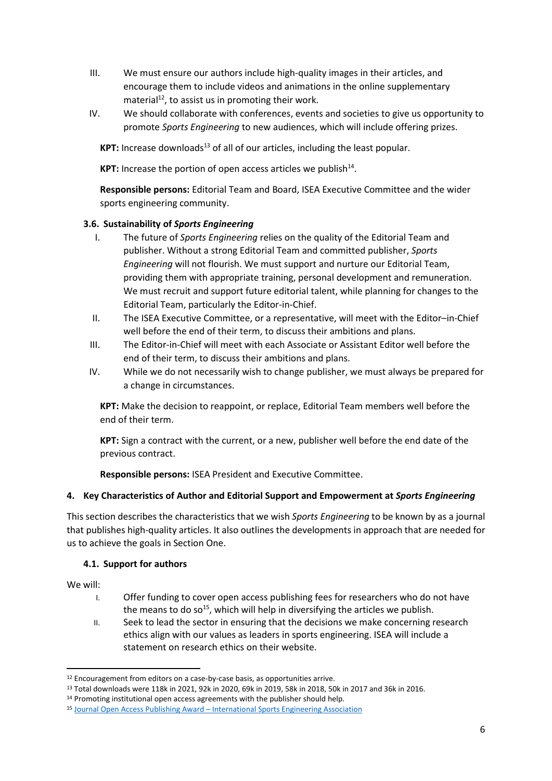- III. We must ensure our authors include high-quality images in their articles, and encourage them to include videos and animations in the online supplementary  $material<sup>12</sup>$ , to assist us in promoting their work.
- IV. We should collaborate with conferences, events and societies to give us opportunity to promote *Sports Engineering* to new audiences, which will include offering prizes.

**KPT:** Increase downloads<sup>13</sup> of all of our articles, including the least popular.

KPT: Increase the portion of open access articles we publish<sup>14</sup>.

**Responsible persons:** Editorial Team and Board, ISEA Executive Committee and the wider sports engineering community.

## **3.6. Sustainability of** *Sports Engineering*

- I. The future of *Sports Engineering* relies on the quality of the Editorial Team and publisher. Without a strong Editorial Team and committed publisher, *Sports Engineering* will not flourish. We must support and nurture our Editorial Team, providing them with appropriate training, personal development and remuneration. We must recruit and support future editorial talent, while planning for changes to the Editorial Team, particularly the Editor-in-Chief.
- II. The ISEA Executive Committee, or a representative, will meet with the Editor–in-Chief well before the end of their term, to discuss their ambitions and plans.
- III. The Editor-in-Chief will meet with each Associate or Assistant Editor well before the end of their term, to discuss their ambitions and plans.
- IV. While we do not necessarily wish to change publisher, we must always be prepared for a change in circumstances.

**KPT:** Make the decision to reappoint, or replace, Editorial Team members well before the end of their term.

**KPT:** Sign a contract with the current, or a new, publisher well before the end date of the previous contract.

**Responsible persons:** ISEA President and Executive Committee.

## **4. Key Characteristics of Author and Editorial Support and Empowerment at** *Sports Engineering*

This section describes the characteristics that we wish *Sports Engineering* to be known by as a journal that publishes high-quality articles. It also outlines the developments in approach that are needed for us to achieve the goals in Section One.

#### **4.1. Support for authors**

We will:

- I. Offer funding to cover open access publishing fees for researchers who do not have the means to do so<sup>15</sup>, which will help in diversifying the articles we publish.
- II. Seek to lead the sector in ensuring that the decisions we make concerning research ethics align with our values as leaders in sports engineering. ISEA will include a statement on research ethics on their website.

<sup>&</sup>lt;sup>12</sup> Encouragement from editors on a case-by-case basis, as opportunities arrive.

<sup>13</sup> Total downloads were 118k in 2021, 92k in 2020, 69k in 2019, 58k in 2018, 50k in 2017 and 36k in 2016.

<sup>14</sup> Promoting institutional open access agreements with the publisher should help.

<sup>15</sup> Journal Open Access Publishing Award – [International Sports Engineering Association](https://www.sportsengineering.org/journal-open-access-publishing-award/)